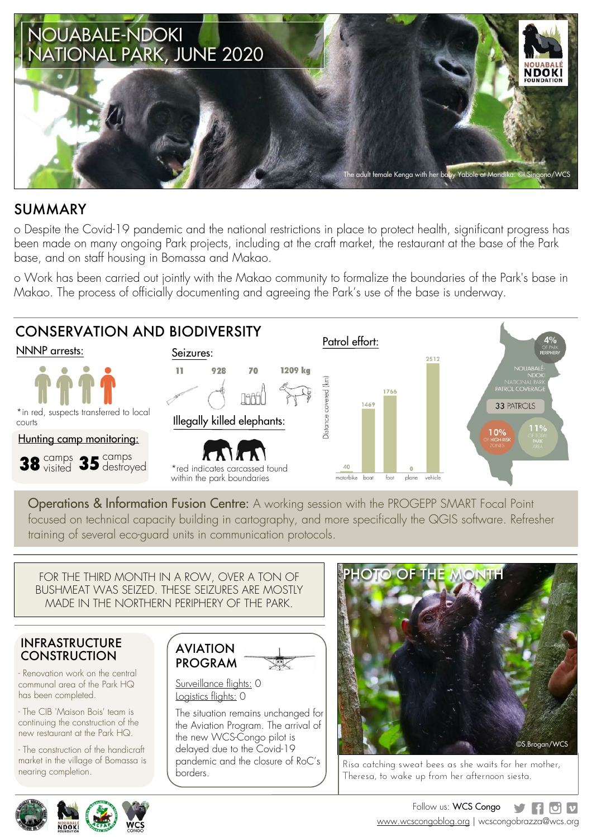

### SUMMARY

o Despite the Covid-19 pandemic and the national restrictions in place to protect health, significant progress has been made on many ongoing Park projects, including at the craft market, the restaurant at the base of the Park base, and on staff housing in Bomassa and Makao.

o Work has been carried out jointly with the Makao community to formalize the boundaries of the Park's base in Makao. The process of officially documenting and agreeing the Park's use of the base is underway.



Operations & Information Fusion Centre: A working session with the PROGEPP SMART Focal Point focused on technical capacity building in cartography, and more specifically the QGIS software. Refresher training of several eco-guard units in communication protocols.

FOR THE THIRD MONTH IN A ROW, OVER A TON OF BUSHMEAT WAS SEIZED. THESE SEIZURES ARE MOSTLY MADE IN THE NORTHERN PERIPHERY OF THE PARK.

#### INFRASTRUCTURE **CONSTRUCTION**

- Renovation work on the central communal area of the Park HQ has been completed.

- The CIB 'Maison Bois' team is continuing the construction of the new restaurant at the Park HQ.

- The construction of the handicraft market in the village of Bomassa is nearing completion.





Surveillance flights: 0 Logistics flights: 0

The situation remains unchanged for the Aviation Program. The arrival of the new WCS-Congo pilot is delayed due to the Covid-19 pandemic and the closure of RoC's borders.



Risa catching sweat bees as she waits for her mother, Theresa, to wake up from her afternoon siesta.